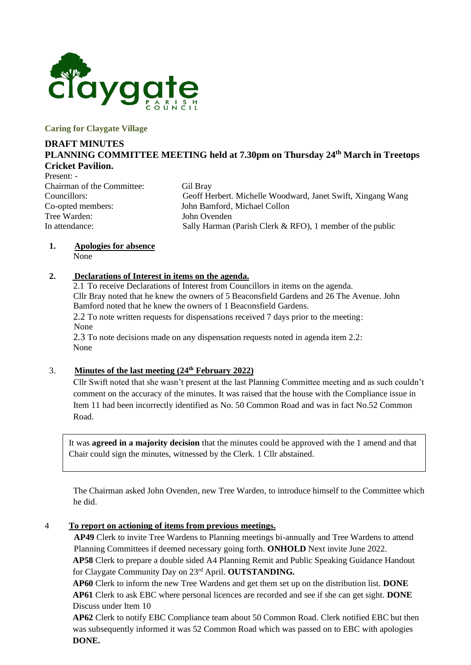

**Caring for Claygate Village**

# **DRAFT MINUTES PLANNING COMMITTEE MEETING held at 7.30pm on Thursday 24th March in Treetops Cricket Pavilion.**

Present: - Chairman of the Committee: Gil Bray Tree Warden: John Ovenden

Councillors: Geoff Herbert. Michelle Woodward, Janet Swift, Xingang Wang Co-opted members: John Bamford, Michael Collon In attendance: Sally Harman (Parish Clerk & RFO), 1 member of the public

# **1. Apologies for absence**

None

### **2. Declarations of Interest in items on the agenda.**

2.1 To receive Declarations of Interest from Councillors in items on the agenda. Cllr Bray noted that he knew the owners of 5 Beaconsfield Gardens and 26 The Avenue. John Bamford noted that he knew the owners of 1 Beaconsfield Gardens. 2.2 To note written requests for dispensations received 7 days prior to the meeting: None 2.3 To note decisions made on any dispensation requests noted in agenda item 2.2: None

# 3. **Minutes of the last meeting (24th February 2022)**

Cllr Swift noted that she wasn't present at the last Planning Committee meeting and as such couldn't comment on the accuracy of the minutes. It was raised that the house with the Compliance issue in Item 11 had been incorrectly identified as No. 50 Common Road and was in fact No.52 Common Road.

It was **agreed in a majority decision** that the minutes could be approved with the 1 amend and that Chair could sign the minutes, witnessed by the Clerk. 1 Cllr abstained.

The Chairman asked John Ovenden, new Tree Warden, to introduce himself to the Committee which he did.

### 4 **To report on actioning of items from previous meetings.**

**AP49** Clerk to invite Tree Wardens to Planning meetings bi-annually and Tree Wardens to attend Planning Committees if deemed necessary going forth. **ONHOLD** Next invite June 2022.

**AP58** Clerk to prepare a double sided A4 Planning Remit and Public Speaking Guidance Handout for Claygate Community Day on 23rd April. **OUTSTANDING.**

**AP60** Clerk to inform the new Tree Wardens and get them set up on the distribution list. **DONE AP61** Clerk to ask EBC where personal licences are recorded and see if she can get sight. **DONE** Discuss under Item 10

**AP62** Clerk to notify EBC Compliance team about 50 Common Road. Clerk notified EBC but then was subsequently informed it was 52 Common Road which was passed on to EBC with apologies **DONE.**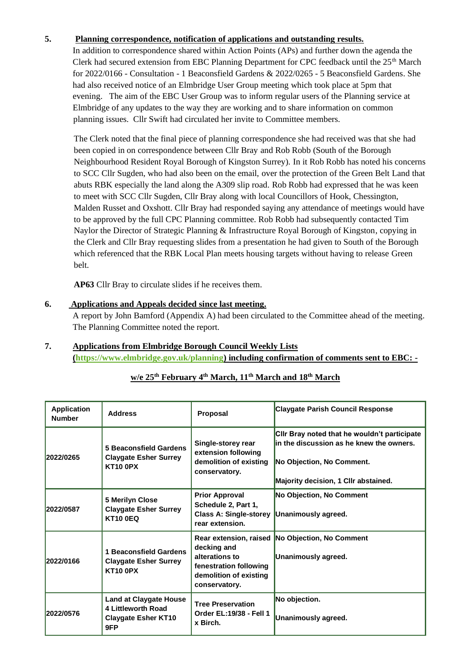### **5. Planning correspondence, notification of applications and outstanding results.**

In addition to correspondence shared within Action Points (APs) and further down the agenda the Clerk had secured extension from EBC Planning Department for CPC feedback until the  $25<sup>th</sup>$  March for 2022/0166 - Consultation - 1 Beaconsfield Gardens & 2022/0265 - 5 Beaconsfield Gardens. She had also received notice of an Elmbridge User Group meeting which took place at 5pm that evening. The aim of the EBC User Group was to inform regular users of the Planning service at Elmbridge of any updates to the way they are working and to share information on common planning issues. Cllr Swift had circulated her invite to Committee members.

The Clerk noted that the final piece of planning correspondence she had received was that she had been copied in on correspondence between Cllr Bray and Rob Robb (South of the Borough Neighbourhood Resident Royal Borough of Kingston Surrey). In it Rob Robb has noted his concerns to SCC Cllr Sugden, who had also been on the email, over the protection of the Green Belt Land that abuts RBK especially the land along the A309 slip road. Rob Robb had expressed that he was keen to meet with SCC Cllr Sugden, Cllr Bray along with local Councillors of Hook, Chessington, Malden Russet and Oxshott. Cllr Bray had responded saying any attendance of meetings would have to be approved by the full CPC Planning committee. Rob Robb had subsequently contacted Tim Naylor the Director of Strategic Planning & Infrastructure Royal Borough of Kingston, copying in the Clerk and Cllr Bray requesting slides from a presentation he had given to South of the Borough which referenced that the RBK Local Plan meets housing targets without having to release Green belt.

**AP63** Cllr Bray to circulate slides if he receives them.

### **6. Applications and Appeals decided since last meeting.**

A report by John Bamford (Appendix A) had been circulated to the Committee ahead of the meeting. The Planning Committee noted the report.

### **7. Applications from Elmbridge Borough Council Weekly Lists [\(https://www.elmbridge.gov.uk/planning\)](https://www.elmbridge.gov.uk/planning) including confirmation of comments sent to EBC: -**

| <b>Application</b><br><b>Number</b> | <b>Address</b>                                                                           | Proposal                                                                                           | <b>Claygate Parish Council Response</b>                                                                                                                       |
|-------------------------------------|------------------------------------------------------------------------------------------|----------------------------------------------------------------------------------------------------|---------------------------------------------------------------------------------------------------------------------------------------------------------------|
| 2022/0265                           | 5 Beaconsfield Gardens<br><b>Claygate Esher Surrey</b><br><b>KT10 0PX</b>                | Single-storey rear<br>extension following<br>demolition of existing<br>conservatory.               | Cilr Bray noted that he wouldn't participate<br>in the discussion as he knew the owners.<br>No Objection, No Comment.<br>Majority decision, 1 Cllr abstained. |
| 2022/0587                           | 5 Merilyn Close<br><b>Claygate Esher Surrey</b><br><b>KT10 0EQ</b>                       | <b>Prior Approval</b><br>Schedule 2, Part 1,<br><b>Class A: Single-storey</b><br>rear extension.   | <b>No Objection, No Comment</b><br>Unanimously agreed.                                                                                                        |
| 2022/0166                           | <b>Beaconsfield Gardens</b><br><b>Claygate Esher Surrey</b><br><b>KT10 0PX</b>           | decking and<br>alterations to<br>fenestration following<br>demolition of existing<br>conservatory. | Rear extension, raised No Objection, No Comment<br>Unanimously agreed.                                                                                        |
| 2022/0576                           | <b>Land at Claygate House</b><br>4 Littleworth Road<br><b>Claygate Esher KT10</b><br>9FP | <b>Tree Preservation</b><br>Order EL:19/38 - Fell 1<br>x Birch.                                    | No objection.<br>Unanimously agreed.                                                                                                                          |

# **w/e 25th February 4 th March, 11th March and 18th March**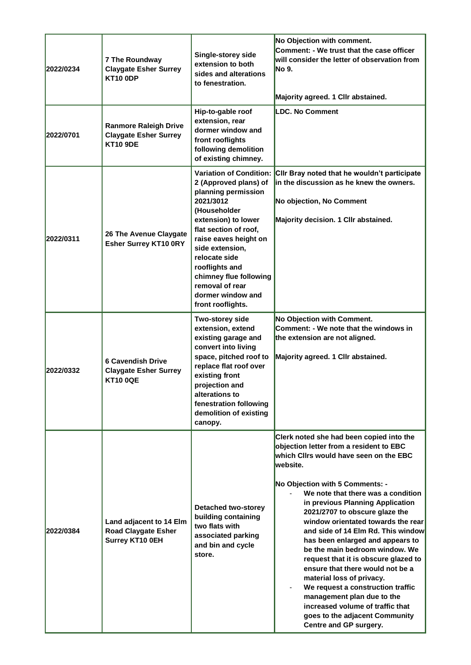| 2022/0234 | <b>7 The Roundway</b><br><b>Claygate Esher Surrey</b><br><b>KT10 0DP</b>        | Single-storey side<br>extension to both<br>sides and alterations<br>to fenestration.                                                                                                                                                                                                                                              | No Objection with comment.<br>Comment: - We trust that the case officer<br>will consider the letter of observation from<br>No 9.<br>Majority agreed. 1 Cllr abstained.                                                                                                                                                                                                                                                                                                                                                                                                                                                                                                                                                 |
|-----------|---------------------------------------------------------------------------------|-----------------------------------------------------------------------------------------------------------------------------------------------------------------------------------------------------------------------------------------------------------------------------------------------------------------------------------|------------------------------------------------------------------------------------------------------------------------------------------------------------------------------------------------------------------------------------------------------------------------------------------------------------------------------------------------------------------------------------------------------------------------------------------------------------------------------------------------------------------------------------------------------------------------------------------------------------------------------------------------------------------------------------------------------------------------|
| 2022/0701 | <b>Ranmore Raleigh Drive</b><br><b>Claygate Esher Surrey</b><br><b>KT10 9DE</b> | Hip-to-gable roof<br>extension, rear<br>dormer window and<br>front rooflights<br>following demolition<br>of existing chimney.                                                                                                                                                                                                     | <b>LDC. No Comment</b>                                                                                                                                                                                                                                                                                                                                                                                                                                                                                                                                                                                                                                                                                                 |
| 2022/0311 | 26 The Avenue Claygate<br><b>Esher Surrey KT10 0RY</b>                          | <b>Variation of Condition:</b><br>2 (Approved plans) of<br>planning permission<br>2021/3012<br>(Householder<br>extension) to lower<br>flat section of roof,<br>raise eaves height on<br>side extension,<br>relocate side<br>rooflights and<br>chimney flue following<br>removal of rear<br>dormer window and<br>front rooflights. | Cilr Bray noted that he wouldn't participate<br>in the discussion as he knew the owners.<br>No objection, No Comment<br>Majority decision. 1 Cllr abstained.                                                                                                                                                                                                                                                                                                                                                                                                                                                                                                                                                           |
| 2022/0332 | <b>6 Cavendish Drive</b><br><b>Claygate Esher Surrey</b><br><b>KT10 0QE</b>     | Two-storey side<br>extension, extend<br>existing garage and<br>convert into living<br>space, pitched roof to<br>replace flat roof over<br>existing front<br>projection and<br>alterations to<br>fenestration following<br>demolition of existing<br>canopy.                                                                       | No Objection with Comment.<br>Comment: - We note that the windows in<br>the extension are not aligned.<br>Majority agreed. 1 Cllr abstained.                                                                                                                                                                                                                                                                                                                                                                                                                                                                                                                                                                           |
| 2022/0384 | Land adjacent to 14 Elm<br><b>Road Claygate Esher</b><br>Surrey KT10 0EH        | <b>Detached two-storey</b><br>building containing<br>two flats with<br>associated parking<br>and bin and cycle<br>store.                                                                                                                                                                                                          | Clerk noted she had been copied into the<br>objection letter from a resident to EBC<br>which Clirs would have seen on the EBC<br>website.<br>No Objection with 5 Comments: -<br>We note that there was a condition<br>in previous Planning Application<br>2021/2707 to obscure glaze the<br>window orientated towards the rear<br>and side of 14 Elm Rd. This window<br>has been enlarged and appears to<br>be the main bedroom window. We<br>request that it is obscure glazed to<br>ensure that there would not be a<br>material loss of privacy.<br>We request a construction traffic<br>management plan due to the<br>increased volume of traffic that<br>goes to the adjacent Community<br>Centre and GP surgery. |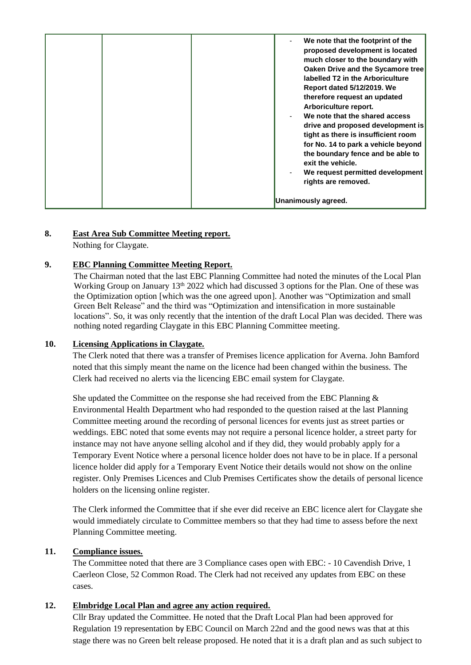|  | We note that the footprint of the<br>proposed development is located<br>much closer to the boundary with<br>Oaken Drive and the Sycamore tree<br>labelled T2 in the Arboriculture<br><b>Report dated 5/12/2019. We</b><br>therefore request an updated<br>Arboriculture report.<br>We note that the shared access<br>drive and proposed development is<br>tight as there is insufficient room<br>for No. 14 to park a vehicle beyond<br>the boundary fence and be able to<br>exit the vehicle.<br>We request permitted development<br>rights are removed. |
|--|-----------------------------------------------------------------------------------------------------------------------------------------------------------------------------------------------------------------------------------------------------------------------------------------------------------------------------------------------------------------------------------------------------------------------------------------------------------------------------------------------------------------------------------------------------------|
|  | Unanimously agreed.                                                                                                                                                                                                                                                                                                                                                                                                                                                                                                                                       |

### **8. East Area Sub Committee Meeting report.**

Nothing for Claygate.

### **9. EBC Planning Committee Meeting Report.**

The Chairman noted that the last EBC Planning Committee had noted the minutes of the Local Plan Working Group on January 13<sup>th</sup> 2022 which had discussed 3 options for the Plan. One of these was the Optimization option [which was the one agreed upon]. Another was "Optimization and small Green Belt Release" and the third was "Optimization and intensification in more sustainable locations". So, it was only recently that the intention of the draft Local Plan was decided. There was nothing noted regarding Claygate in this EBC Planning Committee meeting.

### **10. Licensing Applications in Claygate.**

The Clerk noted that there was a transfer of Premises licence application for Averna. John Bamford noted that this simply meant the name on the licence had been changed within the business. The Clerk had received no alerts via the licencing EBC email system for Claygate.

She updated the Committee on the response she had received from the EBC Planning  $\&$ Environmental Health Department who had responded to the question raised at the last Planning Committee meeting around the recording of personal licences for events just as street parties or weddings. EBC noted that some events may not require a personal licence holder, a street party for instance may not have anyone selling alcohol and if they did, they would probably apply for a Temporary Event Notice where a personal licence holder does not have to be in place. If a personal licence holder did apply for a Temporary Event Notice their details would not show on the online register. Only Premises Licences and Club Premises Certificates show the details of personal licence holders on the licensing online register.

The Clerk informed the Committee that if she ever did receive an EBC licence alert for Claygate she would immediately circulate to Committee members so that they had time to assess before the next Planning Committee meeting.

### **11. Compliance issues.**

The Committee noted that there are 3 Compliance cases open with EBC: - 10 Cavendish Drive, 1 Caerleon Close, 52 Common Road. The Clerk had not received any updates from EBC on these cases.

### **12. Elmbridge Local Plan and agree any action required.**

Cllr Bray updated the Committee. He noted that the Draft Local Plan had been approved for Regulation 19 representation by EBC Council on March 22nd and the good news was that at this stage there was no Green belt release proposed. He noted that it is a draft plan and as such subject to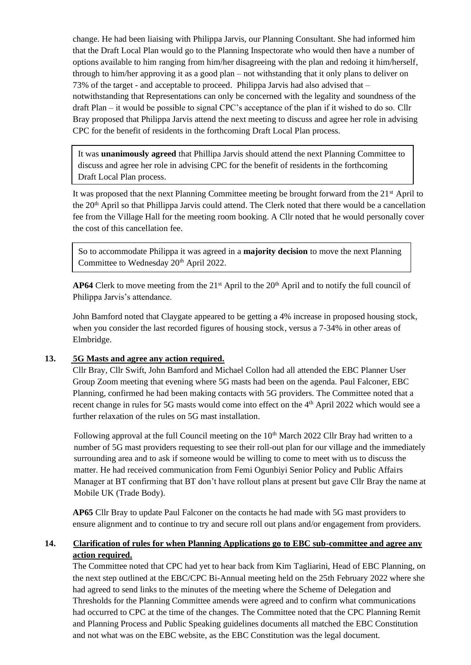change. He had been liaising with Philippa Jarvis, our Planning Consultant. She had informed him that the Draft Local Plan would go to the Planning Inspectorate who would then have a number of options available to him ranging from him/her disagreeing with the plan and redoing it him/herself, through to him/her approving it as a good plan – not withstanding that it only plans to deliver on 73% of the target - and acceptable to proceed. Philippa Jarvis had also advised that – notwithstanding that Representations can only be concerned with the legality and soundness of the draft Plan – it would be possible to signal CPC's acceptance of the plan if it wished to do so. Cllr Bray proposed that Philippa Jarvis attend the next meeting to discuss and agree her role in advising CPC for the benefit of residents in the forthcoming Draft Local Plan process.

It was **unanimously agreed** that Phillipa Jarvis should attend the next Planning Committee to discuss and agree her role in advising CPC for the benefit of residents in the forthcoming Draft Local Plan process.

It was proposed that the next Planning Committee meeting be brought forward from the 21<sup>st</sup> April to the 20th April so that Phillippa Jarvis could attend. The Clerk noted that there would be a cancellation fee from the Village Hall for the meeting room booking. A Cllr noted that he would personally cover the cost of this cancellation fee.

So to accommodate Philippa it was agreed in a **majority decision** to move the next Planning Committee to Wednesday 20<sup>th</sup> April 2022.

**AP64** Clerk to move meeting from the  $21<sup>st</sup>$  April to the  $20<sup>th</sup>$  April and to notify the full council of Philippa Jarvis's attendance.

John Bamford noted that Claygate appeared to be getting a 4% increase in proposed housing stock, when you consider the last recorded figures of housing stock, versus a 7-34% in other areas of Elmbridge.

#### **13. 5G Masts and agree any action required.**

Cllr Bray, Cllr Swift, John Bamford and Michael Collon had all attended the EBC Planner User Group Zoom meeting that evening where 5G masts had been on the agenda. Paul Falconer, EBC Planning, confirmed he had been making contacts with 5G providers. The Committee noted that a recent change in rules for 5G masts would come into effect on the 4<sup>th</sup> April 2022 which would see a further relaxation of the rules on 5G mast installation.

Following approval at the full Council meeting on the 10<sup>th</sup> March 2022 Cllr Bray had written to a number of 5G mast providers requesting to see their roll-out plan for our village and the immediately surrounding area and to ask if someone would be willing to come to meet with us to discuss the matter. He had received communication from Femi Ogunbiyi Senior Policy and Public Affairs Manager at BT confirming that BT don't have rollout plans at present but gave Cllr Bray the name at Mobile UK (Trade Body).

**AP65** Cllr Bray to update Paul Falconer on the contacts he had made with 5G mast providers to ensure alignment and to continue to try and secure roll out plans and/or engagement from providers.

### **14. Clarification of rules for when Planning Applications go to EBC sub-committee and agree any action required.**

The Committee noted that CPC had yet to hear back from Kim Tagliarini, Head of EBC Planning, on the next step outlined at the EBC/CPC Bi-Annual meeting held on the 25th February 2022 where she had agreed to send links to the minutes of the meeting where the Scheme of Delegation and Thresholds for the Planning Committee amends were agreed and to confirm what communications had occurred to CPC at the time of the changes. The Committee noted that the CPC Planning Remit and Planning Process and Public Speaking guidelines documents all matched the EBC Constitution and not what was on the EBC website, as the EBC Constitution was the legal document.